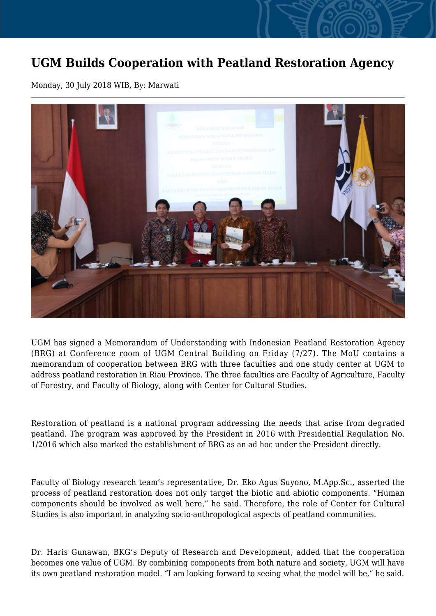## **UGM Builds Cooperation with Peatland Restoration Agency**

Monday, 30 July 2018 WIB, By: Marwati



UGM has signed a Memorandum of Understanding with Indonesian Peatland Restoration Agency (BRG) at Conference room of UGM Central Building on Friday (7/27). The MoU contains a memorandum of cooperation between BRG with three faculties and one study center at UGM to address peatland restoration in Riau Province. The three faculties are Faculty of Agriculture, Faculty of Forestry, and Faculty of Biology, along with Center for Cultural Studies.

Restoration of peatland is a national program addressing the needs that arise from degraded peatland. The program was approved by the President in 2016 with Presidential Regulation No. 1/2016 which also marked the establishment of BRG as an ad hoc under the President directly.

Faculty of Biology research team's representative, Dr. Eko Agus Suyono, M.App.Sc., asserted the process of peatland restoration does not only target the biotic and abiotic components. "Human components should be involved as well here," he said. Therefore, the role of Center for Cultural Studies is also important in analyzing socio-anthropological aspects of peatland communities.

Dr. Haris Gunawan, BKG's Deputy of Research and Development, added that the cooperation becomes one value of UGM. By combining components from both nature and society, UGM will have its own peatland restoration model. "I am looking forward to seeing what the model will be," he said.